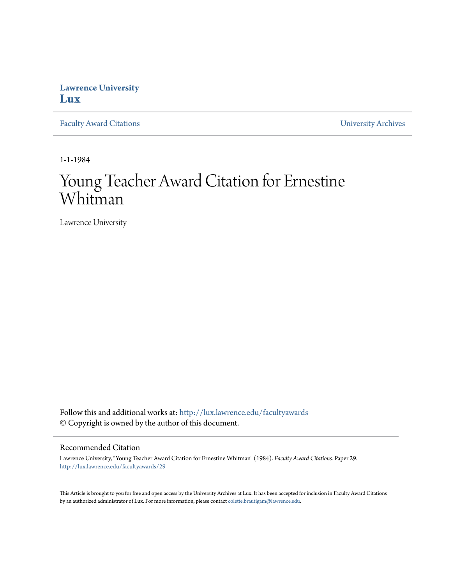## **Lawrence University [Lux](http://lux.lawrence.edu?utm_source=lux.lawrence.edu%2Ffacultyawards%2F29&utm_medium=PDF&utm_campaign=PDFCoverPages)**

[Faculty Award Citations](http://lux.lawrence.edu/facultyawards?utm_source=lux.lawrence.edu%2Ffacultyawards%2F29&utm_medium=PDF&utm_campaign=PDFCoverPages) **Example 2018** [University Archives](http://lux.lawrence.edu/archives?utm_source=lux.lawrence.edu%2Ffacultyawards%2F29&utm_medium=PDF&utm_campaign=PDFCoverPages)

1-1-1984

# Young Teacher Award Citation for Ernestine Whitman

Lawrence University

Follow this and additional works at: [http://lux.lawrence.edu/facultyawards](http://lux.lawrence.edu/facultyawards?utm_source=lux.lawrence.edu%2Ffacultyawards%2F29&utm_medium=PDF&utm_campaign=PDFCoverPages) © Copyright is owned by the author of this document.

#### Recommended Citation

Lawrence University, "Young Teacher Award Citation for Ernestine Whitman" (1984). *Faculty Award Citations.* Paper 29. [http://lux.lawrence.edu/facultyawards/29](http://lux.lawrence.edu/facultyawards/29?utm_source=lux.lawrence.edu%2Ffacultyawards%2F29&utm_medium=PDF&utm_campaign=PDFCoverPages)

This Article is brought to you for free and open access by the University Archives at Lux. It has been accepted for inclusion in Faculty Award Citations by an authorized administrator of Lux. For more information, please contact [colette.brautigam@lawrence.edu](mailto:colette.brautigam@lawrence.edu).